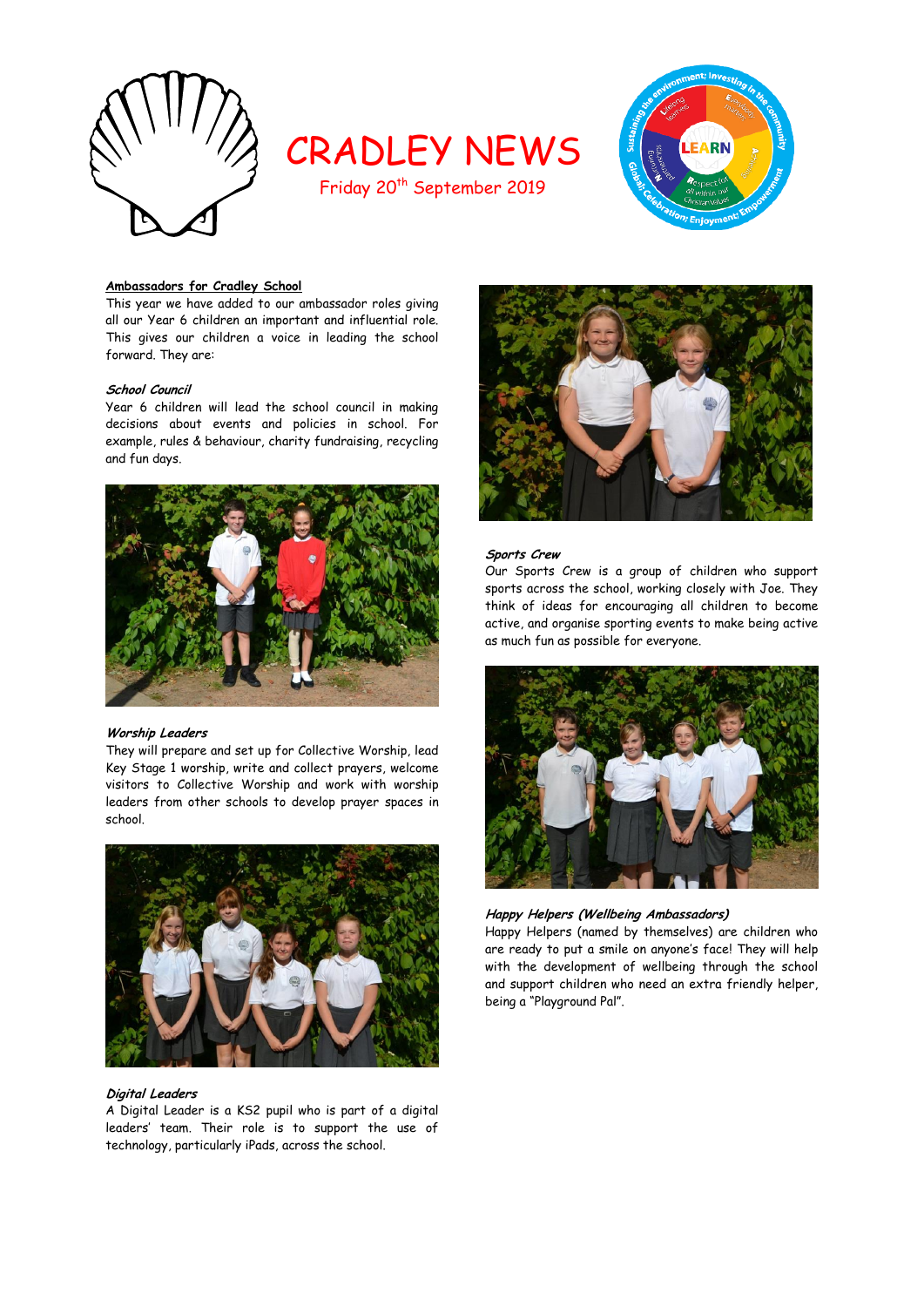

# CRADLEY NEWS

Friday 20<sup>th</sup> September 2019



# **Ambassadors for Cradley School**

This year we have added to our ambassador roles giving all our Year 6 children an important and influential role. This gives our children a voice in leading the school forward. They are:

# **School Council**

Year 6 children will lead the school council in making decisions about events and policies in school. For example, rules & behaviour, charity fundraising, recycling and fun days.



## **Worship Leaders**

They will prepare and set up for Collective Worship, lead Key Stage 1 worship, write and collect prayers, welcome visitors to Collective Worship and work with worship leaders from other schools to develop prayer spaces in school.



## **Digital Leaders**

A Digital Leader is a KS2 pupil who is part of a digital leaders' team. Their role is to support the use of technology, particularly iPads, across the school.



## **Sports Crew**

Our Sports Crew is a group of children who support sports across the school, working closely with Joe. They think of ideas for encouraging all children to become active, and organise sporting events to make being active as much fun as possible for everyone.



# **Happy Helpers (Wellbeing Ambassadors)**

Happy Helpers (named by themselves) are children who are ready to put a smile on anyone's face! They will help with the development of wellbeing through the school and support children who need an extra friendly helper, being a "Playground Pal".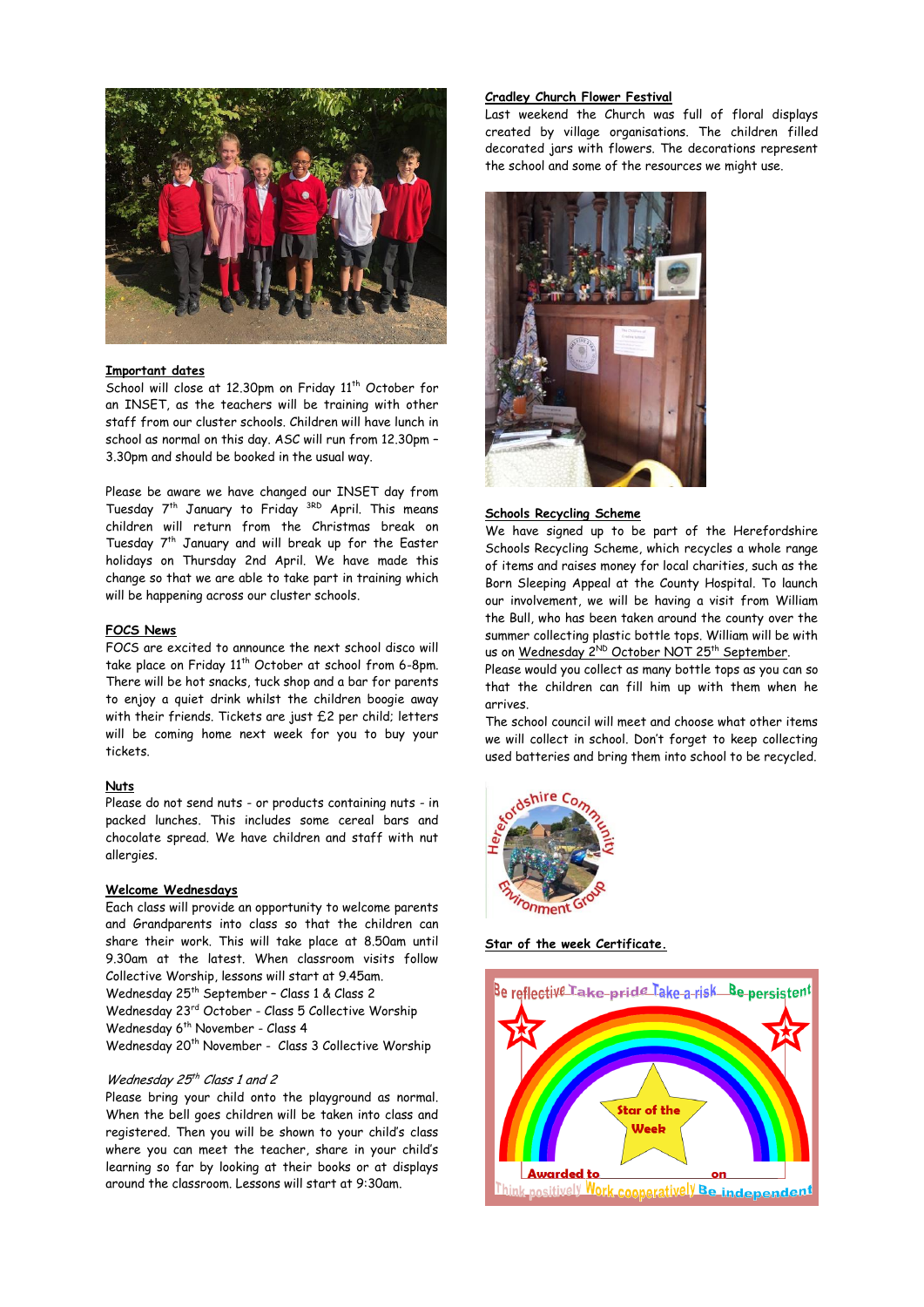

## **Important dates**

School will close at 12.30pm on Friday 11<sup>th</sup> October for an INSET, as the teachers will be training with other staff from our cluster schools. Children will have lunch in school as normal on this day. ASC will run from 12.30pm – 3.30pm and should be booked in the usual way.

Please be aware we have changed our INSET day from Tuesday 7<sup>th</sup> January to Friday <sup>3RD</sup> April. This means children will return from the Christmas break on Tuesday  $7<sup>th</sup>$  January and will break up for the Easter holidays on Thursday 2nd April. We have made this change so that we are able to take part in training which will be happening across our cluster schools.

#### **FOCS News**

FOCS are excited to announce the next school disco will take place on Friday 11<sup>th</sup> October at school from 6-8pm. There will be hot snacks, tuck shop and a bar for parents to enjoy a quiet drink whilst the children boogie away with their friends. Tickets are just £2 per child; letters will be coming home next week for you to buy your tickets.

# **Nuts**

Please do not send nuts - or products containing nuts - in packed lunches. This includes some cereal bars and chocolate spread. We have children and staff with nut allergies.

## **Welcome Wednesdays**

Each class will provide an opportunity to welcome parents and Grandparents into class so that the children can share their work. This will take place at 8.50am until 9.30am at the latest. When classroom visits follow Collective Worship, lessons will start at 9.45am.

Wednesday 25th September – Class 1 & Class 2 Wednesday 23rd October - Class 5 Collective Worship

Wednesday 6<sup>th</sup> November - Class 4

Wednesday 20<sup>th</sup> November - Class 3 Collective Worship

#### Wednesday 25<sup>th</sup> Class 1 and 2

Please bring your child onto the playground as normal. When the bell goes children will be taken into class and registered. Then you will be shown to your child's class where you can meet the teacher, share in your child's learning so far by looking at their books or at displays around the classroom. Lessons will start at 9:30am.

# **Cradley Church Flower Festival**

Last weekend the Church was full of floral displays created by village organisations. The children filled decorated jars with flowers. The decorations represent the school and some of the resources we might use.



#### **Schools Recycling Scheme**

We have signed up to be part of the Herefordshire Schools Recycling Scheme, which recycles a whole range of items and raises money for local charities, such as the Born Sleeping Appeal at the County Hospital. To launch our involvement, we will be having a visit from William the Bull, who has been taken around the county over the summer collecting plastic bottle tops. William will be with us on <u>Wednesday 2<sup>ND</sup> October NOT 25th September</u>.

Please would you collect as many bottle tops as you can so that the children can fill him up with them when he arrives.

The school council will meet and choose what other items we will collect in school. Don't forget to keep collecting used batteries and bring them into school to be recycled.



**Star of the week Certificate.**

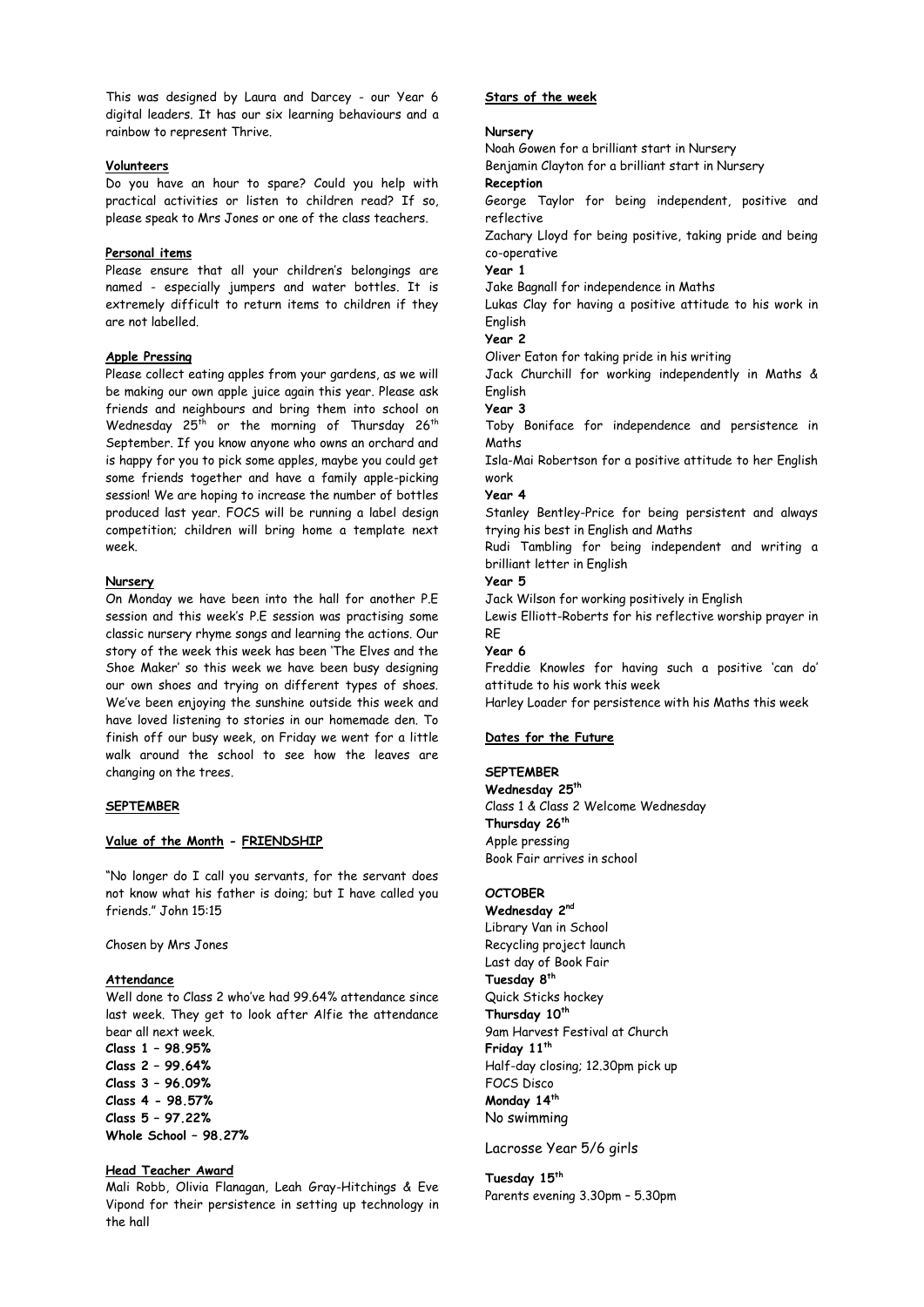This was designed by Laura and Darcey - our Year 6 digital leaders. It has our six learning behaviours and a rainbow to represent Thrive.

## **Volunteers**

Do you have an hour to spare? Could you help with practical activities or listen to children read? If so, please speak to Mrs Jones or one of the class teachers.

## **Personal items**

Please ensure that all your children's belongings are named - especially jumpers and water bottles. It is extremely difficult to return items to children if they are not labelled.

# **Apple Pressing**

Please collect eating apples from your gardens, as we will be making our own apple juice again this year. Please ask friends and neighbours and bring them into school on Wednesday  $25<sup>th</sup>$  or the morning of Thursday  $26<sup>th</sup>$ September. If you know anyone who owns an orchard and is happy for you to pick some apples, maybe you could get some friends together and have a family apple-picking session! We are hoping to increase the number of bottles produced last year. FOCS will be running a label design competition; children will bring home a template next week.

## **Nursery**

On Monday we have been into the hall for another P.E session and this week's P.E session was practising some classic nursery rhyme songs and learning the actions. Our story of the week this week has been 'The Elves and the Shoe Maker' so this week we have been busy designing our own shoes and trying on different types of shoes. We've been enjoying the sunshine outside this week and have loved listening to stories in our homemade den. To finish off our busy week, on Friday we went for a little walk around the school to see how the leaves are changing on the trees.

## **SEPTEMBER**

# **Value of the Month - FRIENDSHIP**

"No longer do I call you servants, for the servant does not know what his father is doing; but I have called you friends." John 15:15

Chosen by Mrs Jones

# **Attendance**

Well done to Class 2 who've had 99.64% attendance since last week. They get to look after Alfie the attendance bear all next week.

**Class 1 – 98.95% Class 2 – 99.64% Class 3 – 96.09% Class 4 - 98.57% Class 5 – 97.22% Whole School – 98.27%**

# **Head Teacher Award**

Mali Robb, Olivia Flanagan, Leah Gray-Hitchings & Eve Vipond for their persistence in setting up technology in the hall

## **Stars of the week**

# **Nursery**

Noah Gowen for a brilliant start in Nursery Benjamin Clayton for a brilliant start in Nursery **Reception** George Taylor for being independent, positive and reflective Zachary Lloyd for being positive, taking pride and being co-operative **Year 1**  Jake Bagnall for independence in Maths Lukas Clay for having a positive attitude to his work in English **Year 2** Oliver Eaton for taking pride in his writing Jack Churchill for working independently in Maths & English **Year 3** Toby Boniface for independence and persistence in Maths Isla-Mai Robertson for a positive attitude to her English work **Year 4** Stanley Bentley-Price for being persistent and always trying his best in English and Maths Rudi Tambling for being independent and writing a brilliant letter in English **Year 5** Jack Wilson for working positively in English Lewis Elliott-Roberts for his reflective worship prayer in RE **Year 6**

Freddie Knowles for having such a positive 'can do' attitude to his work this week

Harley Loader for persistence with his Maths this week

# **Dates for the Future**

# **SEPTEMBER**

**Wednesday 25th** Class 1 & Class 2 Welcome Wednesday **Thursday 26th** Apple pressing Book Fair arrives in school

## **OCTOBER**

**Wednesday 2nd** Library Van in School Recycling project launch Last day of Book Fair **Tuesday 8th** Quick Sticks hockey **Thursday 10th** 9am Harvest Festival at Church **Friday 11th** Half-day closing; 12.30pm pick up FOCS Disco **Monday 14th** No swimming

Lacrosse Year 5/6 girls

**Tuesday 15th** Parents evening 3.30pm – 5.30pm